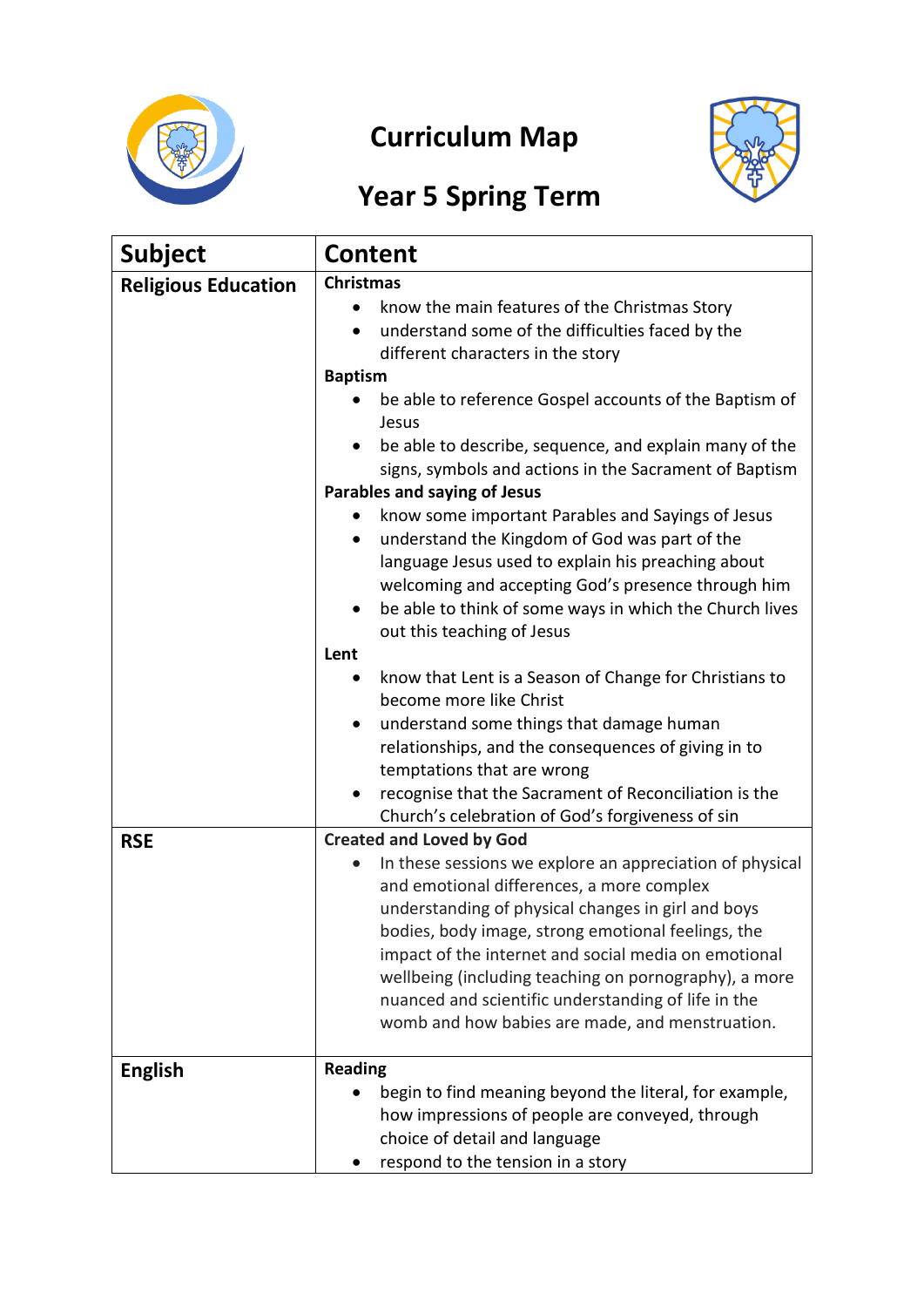

# **Curriculum Map**



# **Year 5 Spring Term**

| <b>Subject</b>             | <b>Content</b>                                                                                                                                                                                                                                                                                                                                                                                                                                                                                                                                                                                                                                                                                                                                                                                                                                                                                                                                         |
|----------------------------|--------------------------------------------------------------------------------------------------------------------------------------------------------------------------------------------------------------------------------------------------------------------------------------------------------------------------------------------------------------------------------------------------------------------------------------------------------------------------------------------------------------------------------------------------------------------------------------------------------------------------------------------------------------------------------------------------------------------------------------------------------------------------------------------------------------------------------------------------------------------------------------------------------------------------------------------------------|
| <b>Religious Education</b> | <b>Christmas</b><br>know the main features of the Christmas Story<br>understand some of the difficulties faced by the<br>different characters in the story<br><b>Baptism</b><br>be able to reference Gospel accounts of the Baptism of<br>Jesus<br>be able to describe, sequence, and explain many of the<br>signs, symbols and actions in the Sacrament of Baptism<br>Parables and saying of Jesus<br>know some important Parables and Sayings of Jesus<br>understand the Kingdom of God was part of the<br>language Jesus used to explain his preaching about<br>welcoming and accepting God's presence through him<br>be able to think of some ways in which the Church lives<br>٠<br>out this teaching of Jesus<br>Lent<br>know that Lent is a Season of Change for Christians to<br>become more like Christ<br>understand some things that damage human<br>٠<br>relationships, and the consequences of giving in to<br>temptations that are wrong |
|                            | recognise that the Sacrament of Reconciliation is the<br>Church's celebration of God's forgiveness of sin                                                                                                                                                                                                                                                                                                                                                                                                                                                                                                                                                                                                                                                                                                                                                                                                                                              |
| <b>RSE</b>                 | <b>Created and Loved by God</b><br>In these sessions we explore an appreciation of physical<br>and emotional differences, a more complex<br>understanding of physical changes in girl and boys<br>bodies, body image, strong emotional feelings, the<br>impact of the internet and social media on emotional<br>wellbeing (including teaching on pornography), a more<br>nuanced and scientific understanding of life in the<br>womb and how babies are made, and menstruation.                                                                                                                                                                                                                                                                                                                                                                                                                                                                        |
| <b>English</b>             | <b>Reading</b><br>begin to find meaning beyond the literal, for example,<br>how impressions of people are conveyed, through<br>choice of detail and language<br>respond to the tension in a story                                                                                                                                                                                                                                                                                                                                                                                                                                                                                                                                                                                                                                                                                                                                                      |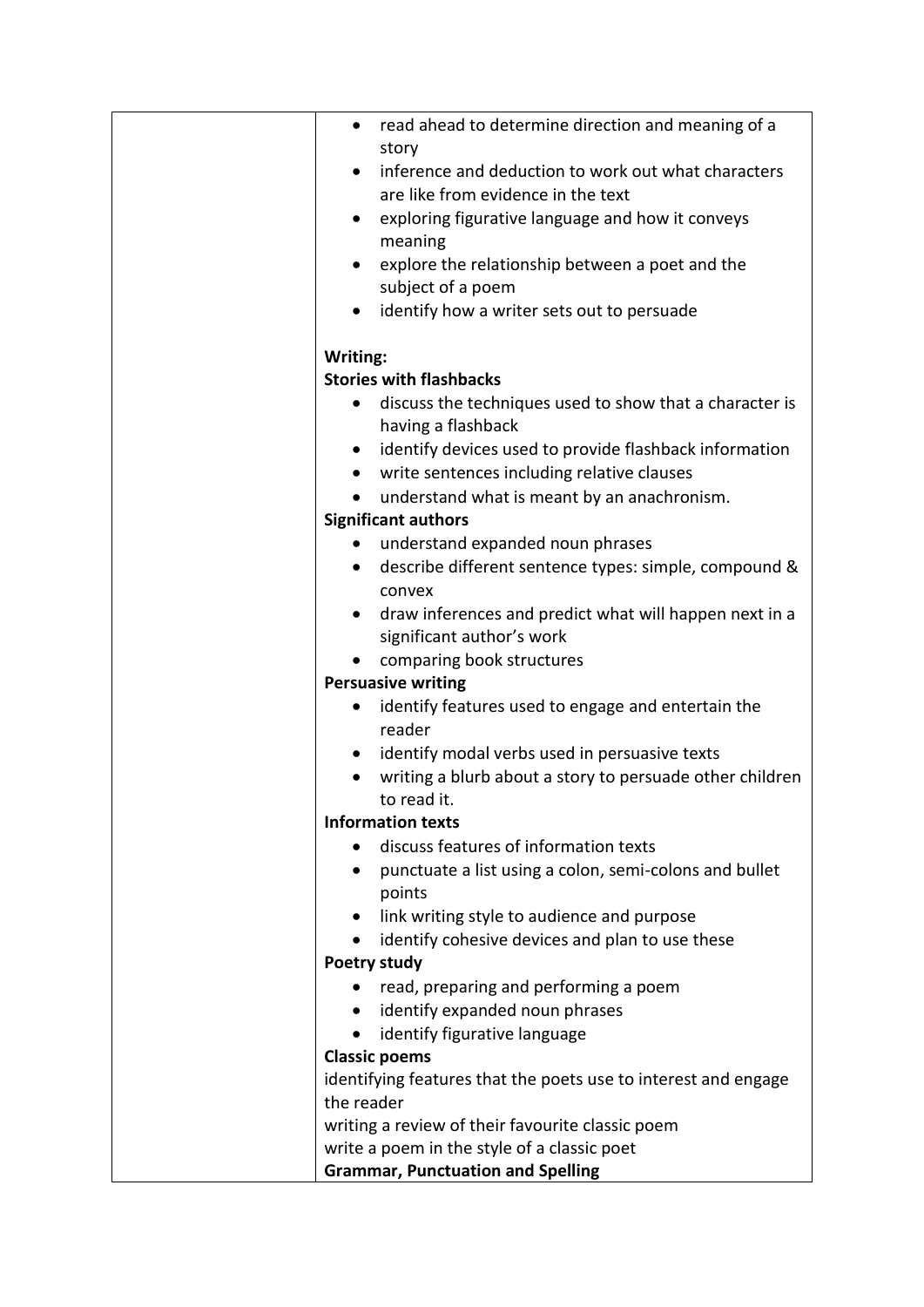| read ahead to determine direction and meaning of a<br>٠                                    |
|--------------------------------------------------------------------------------------------|
| story                                                                                      |
| inference and deduction to work out what characters<br>are like from evidence in the text  |
|                                                                                            |
| exploring figurative language and how it conveys<br>meaning                                |
| explore the relationship between a poet and the                                            |
| subject of a poem                                                                          |
| identify how a writer sets out to persuade                                                 |
|                                                                                            |
| Writing:                                                                                   |
| <b>Stories with flashbacks</b>                                                             |
| discuss the techniques used to show that a character is<br>$\bullet$<br>having a flashback |
| identify devices used to provide flashback information                                     |
| write sentences including relative clauses<br>$\bullet$                                    |
| understand what is meant by an anachronism.                                                |
| <b>Significant authors</b>                                                                 |
| understand expanded noun phrases                                                           |
| describe different sentence types: simple, compound &<br>$\bullet$                         |
| convex                                                                                     |
| draw inferences and predict what will happen next in a<br>$\bullet$                        |
| significant author's work                                                                  |
| comparing book structures                                                                  |
| <b>Persuasive writing</b>                                                                  |
| identify features used to engage and entertain the<br>٠<br>reader                          |
| identify modal verbs used in persuasive texts<br>$\bullet$                                 |
| writing a blurb about a story to persuade other children                                   |
| to read it.                                                                                |
| <b>Information texts</b>                                                                   |
| discuss features of information texts                                                      |
| punctuate a list using a colon, semi-colons and bullet                                     |
| points                                                                                     |
| link writing style to audience and purpose                                                 |
| identify cohesive devices and plan to use these                                            |
| <b>Poetry study</b>                                                                        |
| read, preparing and performing a poem<br>$\bullet$                                         |
| identify expanded noun phrases                                                             |
| identify figurative language                                                               |
| <b>Classic poems</b><br>identifying features that the poets use to interest and engage     |
| the reader                                                                                 |
| writing a review of their favourite classic poem                                           |
| write a poem in the style of a classic poet                                                |
| <b>Grammar, Punctuation and Spelling</b>                                                   |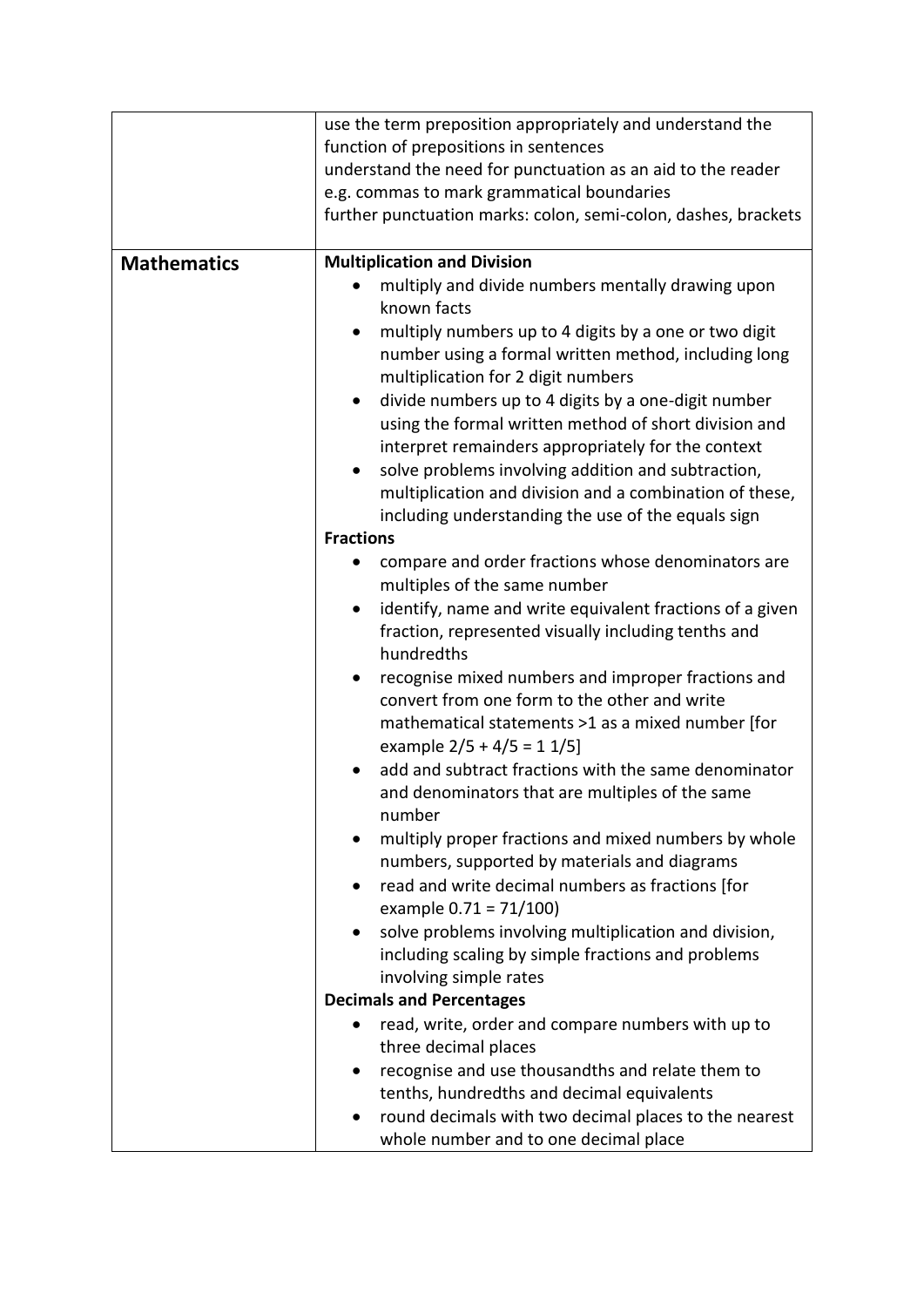|                    | use the term preposition appropriately and understand the        |
|--------------------|------------------------------------------------------------------|
|                    | function of prepositions in sentences                            |
|                    | understand the need for punctuation as an aid to the reader      |
|                    | e.g. commas to mark grammatical boundaries                       |
|                    | further punctuation marks: colon, semi-colon, dashes, brackets   |
|                    |                                                                  |
| <b>Mathematics</b> | <b>Multiplication and Division</b>                               |
|                    | multiply and divide numbers mentally drawing upon                |
|                    | known facts                                                      |
|                    | multiply numbers up to 4 digits by a one or two digit            |
|                    | number using a formal written method, including long             |
|                    | multiplication for 2 digit numbers                               |
|                    | divide numbers up to 4 digits by a one-digit number<br>$\bullet$ |
|                    | using the formal written method of short division and            |
|                    | interpret remainders appropriately for the context               |
|                    | solve problems involving addition and subtraction,               |
|                    | multiplication and division and a combination of these,          |
|                    | including understanding the use of the equals sign               |
|                    | <b>Fractions</b>                                                 |
|                    | compare and order fractions whose denominators are               |
|                    | multiples of the same number                                     |
|                    | identify, name and write equivalent fractions of a given<br>٠    |
|                    | fraction, represented visually including tenths and              |
|                    | hundredths                                                       |
|                    | recognise mixed numbers and improper fractions and               |
|                    | convert from one form to the other and write                     |
|                    | mathematical statements >1 as a mixed number [for                |
|                    | example $2/5 + 4/5 = 11/5$                                       |
|                    | add and subtract fractions with the same denominator             |
|                    | and denominators that are multiples of the same                  |
|                    | number                                                           |
|                    | multiply proper fractions and mixed numbers by whole             |
|                    | numbers, supported by materials and diagrams                     |
|                    | read and write decimal numbers as fractions [for                 |
|                    | example $0.71 = 71/100$                                          |
|                    | solve problems involving multiplication and division,            |
|                    | including scaling by simple fractions and problems               |
|                    | involving simple rates                                           |
|                    | <b>Decimals and Percentages</b>                                  |
|                    | read, write, order and compare numbers with up to<br>$\bullet$   |
|                    | three decimal places                                             |
|                    | recognise and use thousandths and relate them to                 |
|                    | tenths, hundredths and decimal equivalents                       |
|                    | round decimals with two decimal places to the nearest            |
|                    | whole number and to one decimal place                            |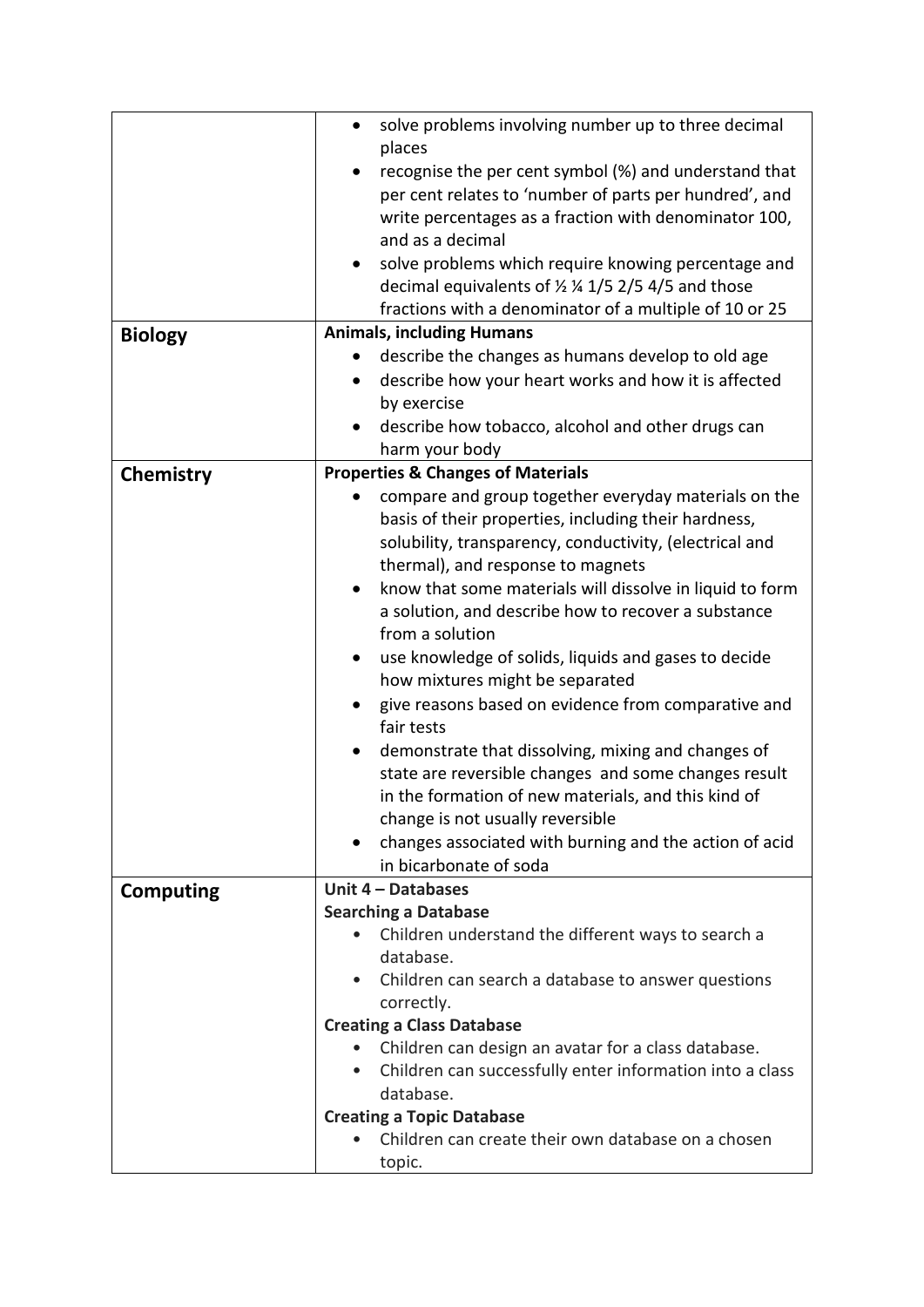|                  | solve problems involving number up to three decimal<br>٠                                                                 |
|------------------|--------------------------------------------------------------------------------------------------------------------------|
|                  | places                                                                                                                   |
|                  | recognise the per cent symbol (%) and understand that<br>per cent relates to 'number of parts per hundred', and          |
|                  | write percentages as a fraction with denominator 100,                                                                    |
|                  | and as a decimal                                                                                                         |
|                  |                                                                                                                          |
|                  | solve problems which require knowing percentage and<br>$\bullet$<br>decimal equivalents of 1/2 1/4 1/5 2/5 4/5 and those |
|                  | fractions with a denominator of a multiple of 10 or 25                                                                   |
|                  | <b>Animals, including Humans</b>                                                                                         |
| <b>Biology</b>   | describe the changes as humans develop to old age                                                                        |
|                  | describe how your heart works and how it is affected                                                                     |
|                  | by exercise                                                                                                              |
|                  | describe how tobacco, alcohol and other drugs can                                                                        |
|                  | harm your body                                                                                                           |
|                  | <b>Properties &amp; Changes of Materials</b>                                                                             |
| Chemistry        | compare and group together everyday materials on the<br>$\bullet$                                                        |
|                  | basis of their properties, including their hardness,                                                                     |
|                  | solubility, transparency, conductivity, (electrical and                                                                  |
|                  | thermal), and response to magnets                                                                                        |
|                  | know that some materials will dissolve in liquid to form<br>$\bullet$                                                    |
|                  | a solution, and describe how to recover a substance                                                                      |
|                  | from a solution                                                                                                          |
|                  | use knowledge of solids, liquids and gases to decide                                                                     |
|                  | how mixtures might be separated                                                                                          |
|                  | give reasons based on evidence from comparative and<br>٠                                                                 |
|                  | fair tests                                                                                                               |
|                  | demonstrate that dissolving, mixing and changes of                                                                       |
|                  | state are reversible changes and some changes result                                                                     |
|                  | in the formation of new materials, and this kind of                                                                      |
|                  | change is not usually reversible                                                                                         |
|                  | changes associated with burning and the action of acid                                                                   |
|                  | in bicarbonate of soda                                                                                                   |
| <b>Computing</b> | Unit 4 - Databases                                                                                                       |
|                  | <b>Searching a Database</b>                                                                                              |
|                  | Children understand the different ways to search a<br>$\bullet$                                                          |
|                  | database.                                                                                                                |
|                  | • Children can search a database to answer questions                                                                     |
|                  | correctly.                                                                                                               |
|                  | <b>Creating a Class Database</b>                                                                                         |
|                  | Children can design an avatar for a class database.<br>$\bullet$                                                         |
|                  | Children can successfully enter information into a class<br>$\bullet$                                                    |
|                  | database.                                                                                                                |
|                  | <b>Creating a Topic Database</b>                                                                                         |
|                  | Children can create their own database on a chosen                                                                       |
|                  | topic.                                                                                                                   |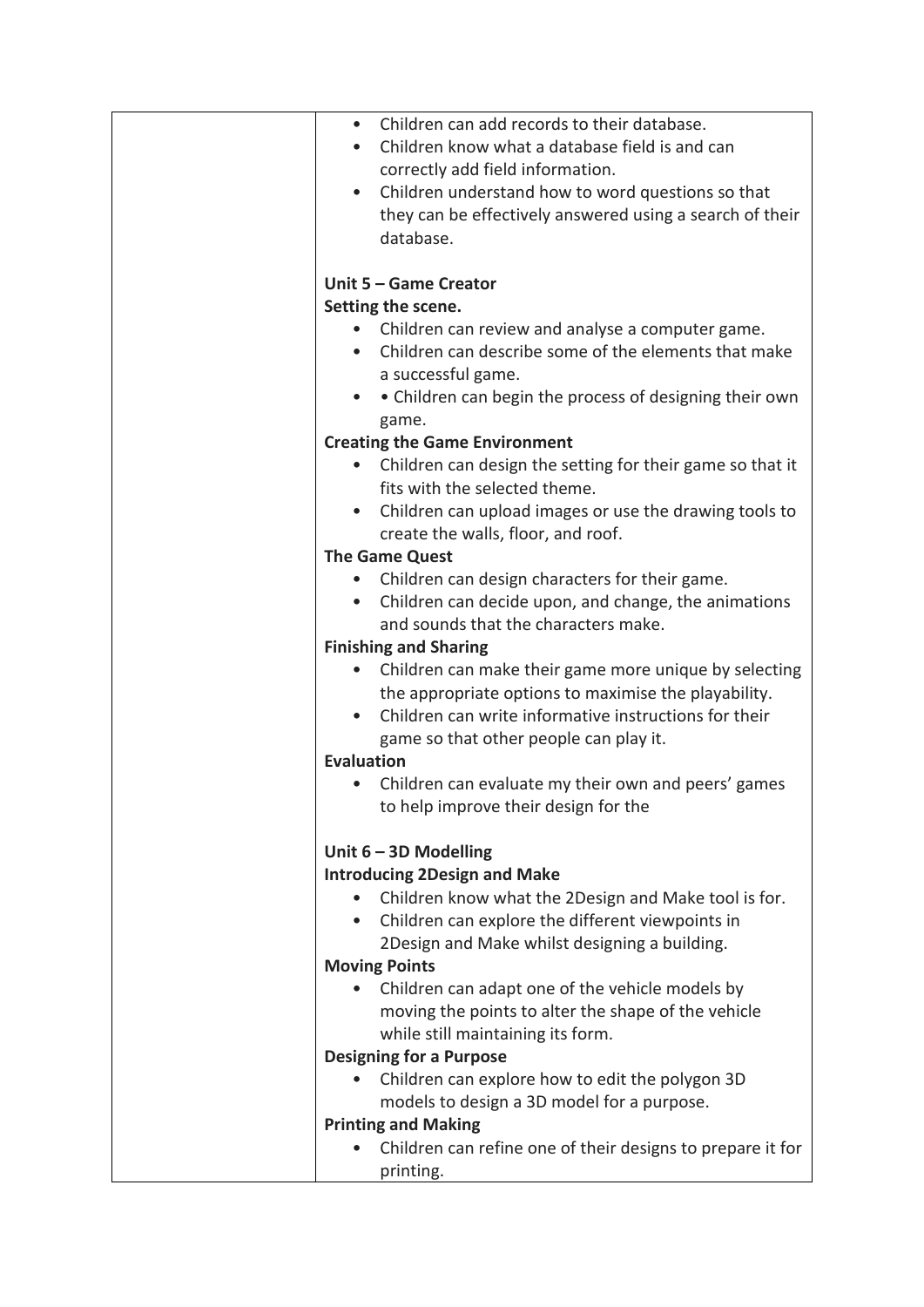| $\bullet$         | Children can add records to their database.                |
|-------------------|------------------------------------------------------------|
| $\bullet$         | Children know what a database field is and can             |
|                   |                                                            |
|                   | correctly add field information.                           |
|                   | Children understand how to word questions so that          |
|                   | they can be effectively answered using a search of their   |
|                   | database.                                                  |
|                   |                                                            |
|                   | Unit 5 - Game Creator                                      |
|                   | Setting the scene.                                         |
|                   | Children can review and analyse a computer game.           |
|                   | Children can describe some of the elements that make       |
|                   | a successful game.                                         |
|                   | • Children can begin the process of designing their own    |
|                   | game.                                                      |
|                   | <b>Creating the Game Environment</b>                       |
| $\bullet$         | Children can design the setting for their game so that it  |
|                   | fits with the selected theme.                              |
|                   |                                                            |
| $\bullet$         | Children can upload images or use the drawing tools to     |
|                   | create the walls, floor, and roof.                         |
|                   | <b>The Game Quest</b>                                      |
|                   | Children can design characters for their game.             |
|                   | Children can decide upon, and change, the animations       |
|                   | and sounds that the characters make.                       |
|                   | <b>Finishing and Sharing</b>                               |
| $\bullet$         | Children can make their game more unique by selecting      |
|                   | the appropriate options to maximise the playability.       |
| $\bullet$         | Children can write informative instructions for their      |
|                   | game so that other people can play it.                     |
| <b>Evaluation</b> |                                                            |
|                   | Children can evaluate my their own and peers' games        |
|                   | to help improve their design for the                       |
|                   |                                                            |
|                   | Unit $6 - 3D$ Modelling                                    |
|                   | <b>Introducing 2Design and Make</b>                        |
|                   | Children know what the 2Design and Make tool is for.       |
| $\bullet$         | Children can explore the different viewpoints in           |
|                   |                                                            |
|                   | 2Design and Make whilst designing a building.              |
|                   | <b>Moving Points</b>                                       |
|                   | Children can adapt one of the vehicle models by            |
|                   | moving the points to alter the shape of the vehicle        |
|                   | while still maintaining its form.                          |
|                   | <b>Designing for a Purpose</b>                             |
|                   | Children can explore how to edit the polygon 3D            |
|                   | models to design a 3D model for a purpose.                 |
|                   | <b>Printing and Making</b>                                 |
|                   | Children can refine one of their designs to prepare it for |
|                   | printing.                                                  |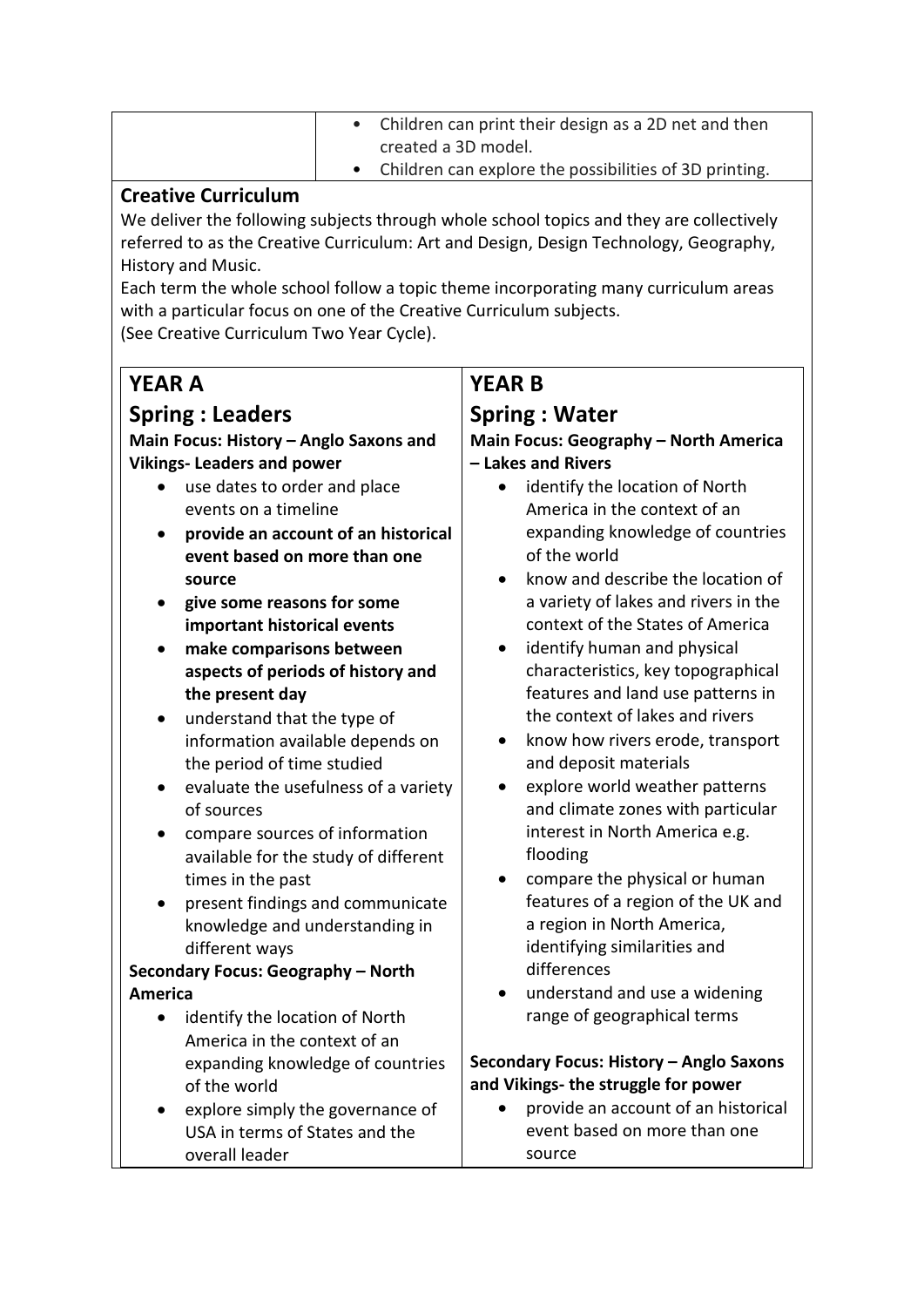| • Children can print their design as a 2D net and then   |
|----------------------------------------------------------|
| created a 3D model.                                      |
| • Children can explore the possibilities of 3D printing. |

#### **Creative Curriculum**

We deliver the following subjects through whole school topics and they are collectively referred to as the Creative Curriculum: Art and Design, Design Technology, Geography, History and Music.

Each term the whole school follow a topic theme incorporating many curriculum areas with a particular focus on one of the Creative Curriculum subjects.

(See Creative Curriculum Two Year Cycle).

## **YEAR A**

### **Spring : Leaders**

#### **Main Focus: History – Anglo Saxons and Vikings- Leaders and power**

- use dates to order and place events on a timeline
- **provide an account of an historical event based on more than one source**
- **give some reasons for some important historical events**
- **make comparisons between aspects of periods of history and the present day**
- understand that the type of information available depends on the period of time studied
- evaluate the usefulness of a variety of sources
- compare sources of information available for the study of different times in the past
- present findings and communicate knowledge and understanding in different ways

#### **Secondary Focus: Geography – North America**

- identify the location of North America in the context of an expanding knowledge of countries of the world
- explore simply the governance of USA in terms of States and the overall leader

## **YEAR B**

### **Spring : Water**

#### **Main Focus: Geography – North America – Lakes and Rivers**

- identify the location of North America in the context of an expanding knowledge of countries of the world
- know and describe the location of a variety of lakes and rivers in the context of the States of America
- identify human and physical characteristics, key topographical features and land use patterns in the context of lakes and rivers
- know how rivers erode, transport and deposit materials
- explore world weather patterns and climate zones with particular interest in North America e.g. flooding
- compare the physical or human features of a region of the UK and a region in North America, identifying similarities and differences
- understand and use a widening range of geographical terms

#### **Secondary Focus: History – Anglo Saxons and Vikings- the struggle for power**

• provide an account of an historical event based on more than one source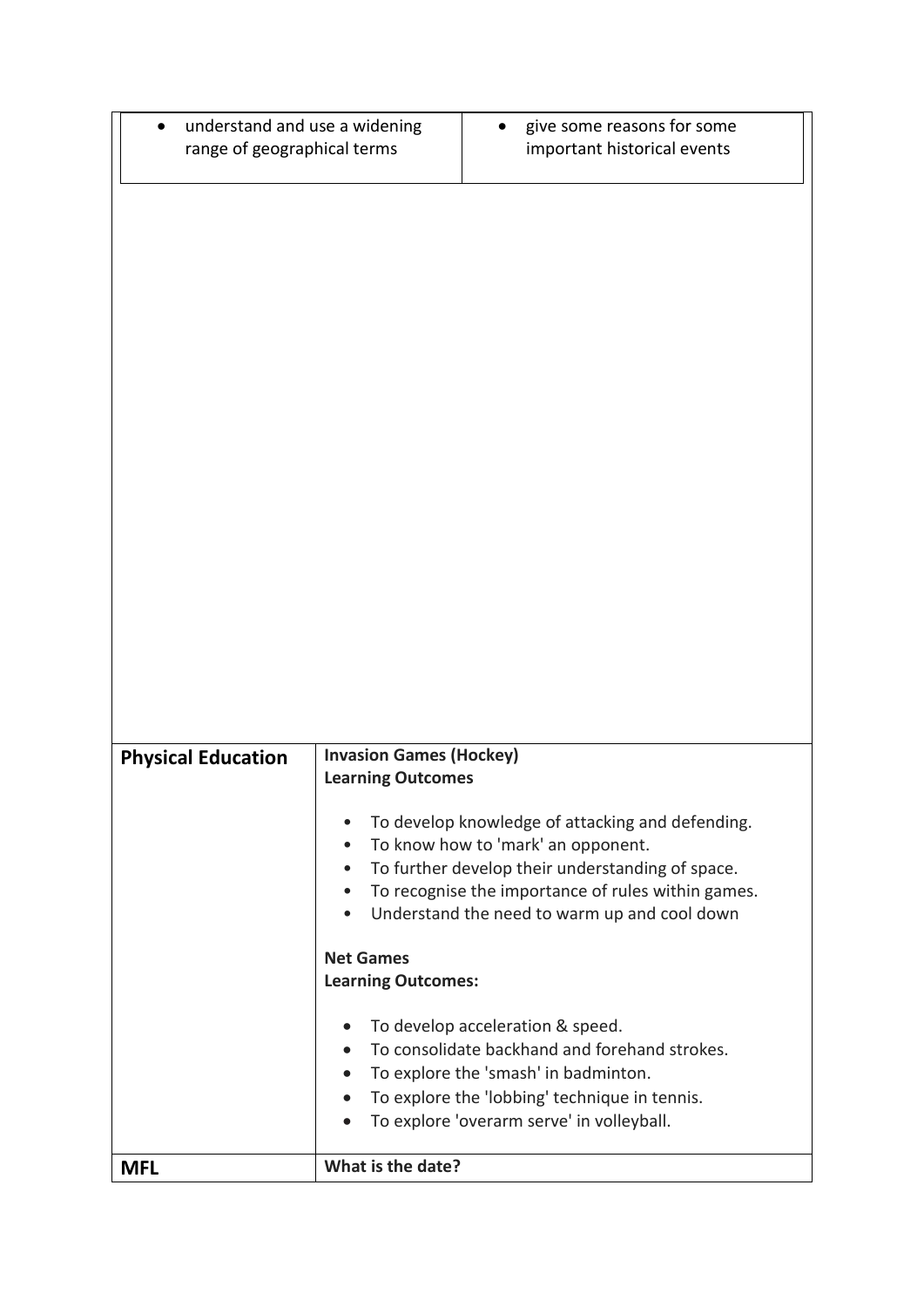| <b>Invasion Games (Hockey)</b><br><b>Physical Education</b><br><b>Learning Outcomes</b><br>To develop knowledge of attacking and defending.<br>To know how to 'mark' an opponent.<br>To further develop their understanding of space.<br>$\bullet$<br>To recognise the importance of rules within games.<br>$\bullet$<br>Understand the need to warm up and cool down<br><b>Net Games</b> |                                                              |  |                             |
|-------------------------------------------------------------------------------------------------------------------------------------------------------------------------------------------------------------------------------------------------------------------------------------------------------------------------------------------------------------------------------------------|--------------------------------------------------------------|--|-----------------------------|
|                                                                                                                                                                                                                                                                                                                                                                                           |                                                              |  |                             |
|                                                                                                                                                                                                                                                                                                                                                                                           |                                                              |  |                             |
|                                                                                                                                                                                                                                                                                                                                                                                           |                                                              |  |                             |
|                                                                                                                                                                                                                                                                                                                                                                                           |                                                              |  |                             |
|                                                                                                                                                                                                                                                                                                                                                                                           |                                                              |  |                             |
|                                                                                                                                                                                                                                                                                                                                                                                           |                                                              |  |                             |
|                                                                                                                                                                                                                                                                                                                                                                                           |                                                              |  |                             |
|                                                                                                                                                                                                                                                                                                                                                                                           |                                                              |  |                             |
|                                                                                                                                                                                                                                                                                                                                                                                           | understand and use a widening<br>range of geographical terms |  | important historical events |
|                                                                                                                                                                                                                                                                                                                                                                                           |                                                              |  | give some reasons for some  |